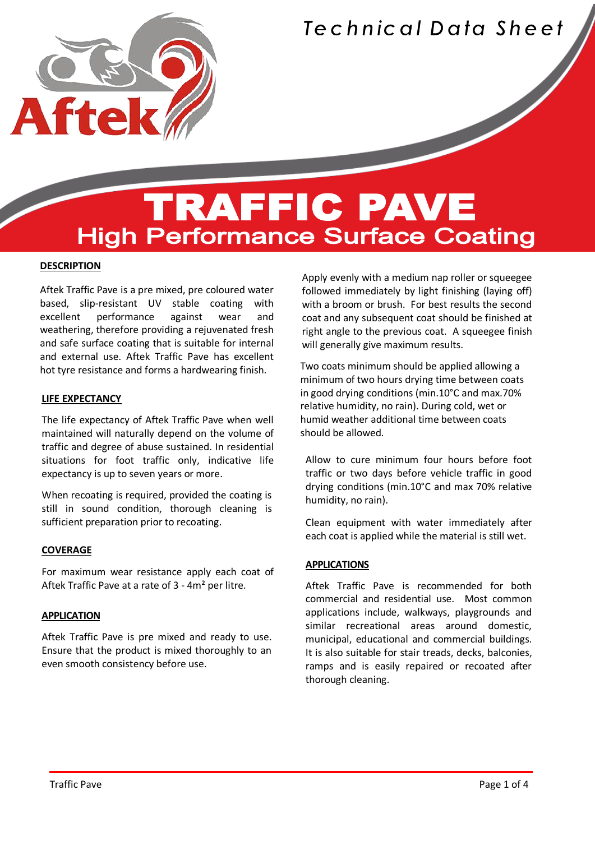

### **TRAFFIC PAVE High Performance Surface Coating**

#### **DESCRIPTION**

Í

Aftek Traffic Pave is a pre mixed, pre coloured water based, slip-resistant UV stable coating with excellent performance against wear and weathering, therefore providing a rejuvenated fresh and safe surface coating that is suitable for internal and external use. Aftek Traffic Pave has excellent hot tyre resistance and forms a hardwearing finish.

#### **LIFE EXPECTANCY**

The life expectancy of Aftek Traffic Pave when well maintained will naturally depend on the volume of traffic and degree of abuse sustained. In residential situations for foot traffic only, indicative life expectancy is up to seven years or more.

When recoating is required, provided the coating is still in sound condition, thorough cleaning is sufficient preparation prior to recoating.

#### **COVERAGE**

For maximum wear resistance apply each coat of Aftek Traffic Pave at a rate of 3 - 4m² per litre.

#### **APPLICATION**

Aftek Traffic Pave is pre mixed and ready to use. Ensure that the product is mixed thoroughly to an even smooth consistency before use.

Apply evenly with a medium nap roller or squeegee followed immediately by light finishing (laying off) with a broom or brush. For best results the second coat and any subsequent coat should be finished at right angle to the previous coat. A squeegee finish will generally give maximum results.

Two coats minimum should be applied allowing a minimum of two hours drying time between coats in good drying conditions (min.10°C and max.70% relative humidity, no rain). During cold, wet or humid weather additional time between coats should be allowed.

Allow to cure minimum four hours before foot traffic or two days before vehicle traffic in good drying conditions (min.10°C and max 70% relative humidity, no rain).

Clean equipment with water immediately after each coat is applied while the material is still wet.

#### **APPLICATIONS**

Aftek Traffic Pave is recommended for both commercial and residential use. Most common applications include, walkways, playgrounds and similar recreational areas around domestic, municipal, educational and commercial buildings. It is also suitable for stair treads, decks, balconies, ramps and is easily repaired or recoated after thorough cleaning.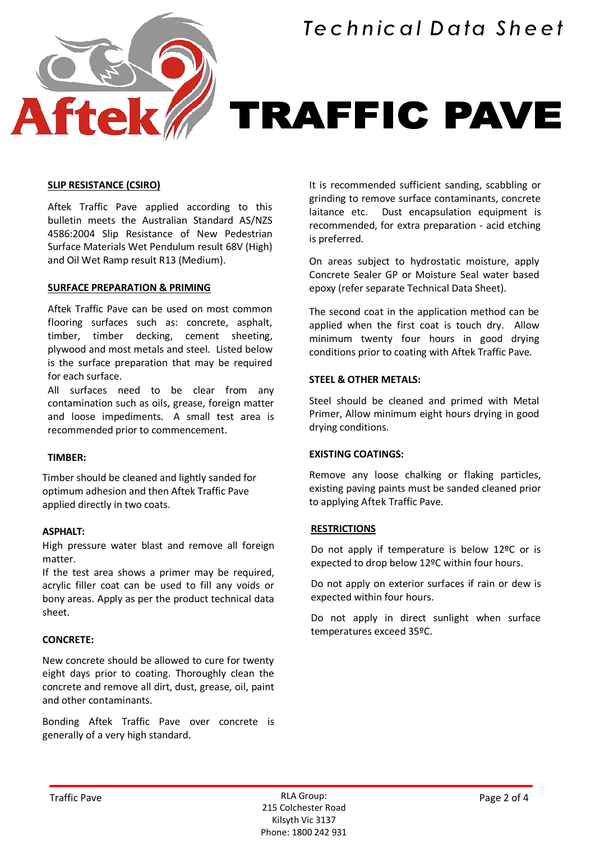

## **TRAFFIC PAVE**

#### **SLIP RESISTANCE (CSIRO)**

Aftek Traffic Pave applied according to this bulletin meets the Australian Standard AS/NZS 4586:2004 Slip Resistance of New Pedestrian Surface Materials Wet Pendulum result 68V (High) and Oil Wet Ramp result R13 (Medium).

#### **SURFACE PREPARATION & PRIMING**

Aftek Traffic Pave can be used on most common flooring surfaces such as: concrete, asphalt, timber, timber decking, cement sheeting, plywood and most metals and steel. Listed below is the surface preparation that may be required for each surface.

All surfaces need to be clear from any contamination such as oils, grease, foreign matter and loose impediments. A small test area is recommended prior to commencement.

#### **TIMBER:**

Timber should be cleaned and lightly sanded for optimum adhesion and then Aftek Traffic Pave applied directly in two coats.

#### **ASPHALT:**

High pressure water blast and remove all foreign matter.

If the test area shows a primer may be required, acrylic filler coat can be used to fill any voids or bony areas. Apply as per the product technical data sheet.

#### **CONCRETE:**

New concrete should be allowed to cure for twenty eight days prior to coating. Thoroughly clean the concrete and remove all dirt, dust, grease, oil, paint and other contaminants.

Bonding Aftek Traffic Pave over concrete is generally of a very high standard.

It is recommended sufficient sanding, scabbling or grinding to remove surface contaminants, concrete laitance etc. Dust encapsulation equipment is recommended, for extra preparation - acid etching is preferred.

On areas subject to hydrostatic moisture, apply Concrete Sealer GP or Moisture Seal water based epoxy (refer separate Technical Data Sheet).

The second coat in the application method can be applied when the first coat is touch dry. Allow minimum twenty four hours in good drying conditions prior to coating with Aftek Traffic Pave.

#### **STEEL & OTHER METALS:**

Steel should be cleaned and primed with Metal Primer, Allow minimum eight hours drying in good drying conditions.

#### **EXISTING COATINGS:**

Remove any loose chalking or flaking particles, existing paving paints must be sanded cleaned prior to applying Aftek Traffic Pave.

#### **RESTRICTIONS**

Do not apply if temperature is below 12ºC or is expected to drop below 12ºC within four hours.

Do not apply on exterior surfaces if rain or dew is expected within four hours.

Do not apply in direct sunlight when surface temperatures exceed 35ºC.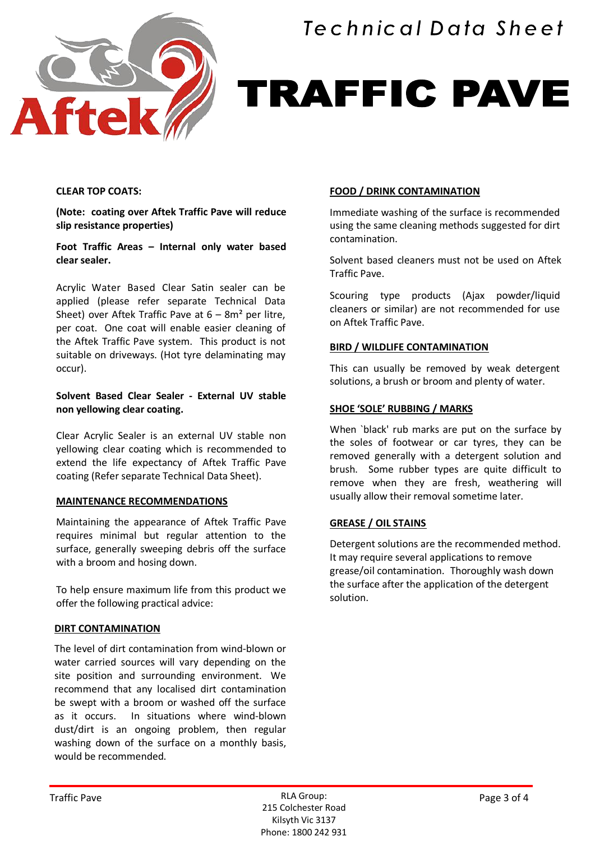

# TRAFFIC PAVE

#### **CLEAR TOP COATS:**

**(Note: coating over Aftek Traffic Pave will reduce slip resistance properties)**

**Foot Traffic Areas – Internal only water based clear sealer.**

Acrylic Water Based Clear Satin sealer can be applied (please refer separate Technical Data Sheet) over Aftek Traffic Pave at  $6 - 8m^2$  per litre, per coat. One coat will enable easier cleaning of the Aftek Traffic Pave system. This product is not suitable on driveways. (Hot tyre delaminating may occur).

#### **Solvent Based Clear Sealer - External UV stable non yellowing clear coating.**

Clear Acrylic Sealer is an external UV stable non yellowing clear coating which is recommended to extend the life expectancy of Aftek Traffic Pave coating (Refer separate Technical Data Sheet).

#### **MAINTENANCE RECOMMENDATIONS**

Maintaining the appearance of Aftek Traffic Pave requires minimal but regular attention to the surface, generally sweeping debris off the surface with a broom and hosing down.

To help ensure maximum life from this product we offer the following practical advice:

#### **DIRT CONTAMINATION**

The level of dirt contamination from wind-blown or water carried sources will vary depending on the site position and surrounding environment. We recommend that any localised dirt contamination be swept with a broom or washed off the surface as it occurs. In situations where wind-blown dust/dirt is an ongoing problem, then regular washing down of the surface on a monthly basis, would be recommended.

#### **FOOD / DRINK CONTAMINATION**

Immediate washing of the surface is recommended using the same cleaning methods suggested for dirt contamination.

Solvent based cleaners must not be used on Aftek Traffic Pave.

Scouring type products (Ajax powder/liquid cleaners or similar) are not recommended for use on Aftek Traffic Pave.

#### **BIRD / WILDLIFE CONTAMINATION**

This can usually be removed by weak detergent solutions, a brush or broom and plenty of water.

#### **SHOE 'SOLE' RUBBING / MARKS**

When `black' rub marks are put on the surface by the soles of footwear or car tyres, they can be removed generally with a detergent solution and brush. Some rubber types are quite difficult to remove when they are fresh, weathering will usually allow their removal sometime later.

#### **GREASE / OIL STAINS**

Detergent solutions are the recommended method. It may require several applications to remove grease/oil contamination. Thoroughly wash down the surface after the application of the detergent solution.